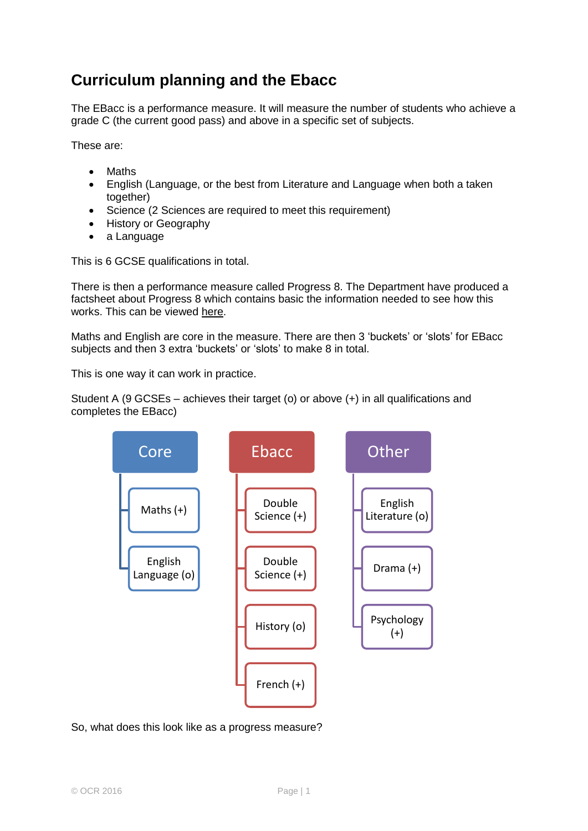## **Curriculum planning and the Ebacc**

The EBacc is a performance measure. It will measure the number of students who achieve a grade C (the current good pass) and above in a specific set of subjects.

These are:

- Maths
- English (Language, or the best from Literature and Language when both a taken together)
- Science (2 Sciences are required to meet this requirement)
- History or Geography
- a Language

This is 6 GCSE qualifications in total.

There is then a performance measure called Progress 8. The Department have produced a factsheet about Progress 8 which contains basic the information needed to see how this works. This can be viewed [here.](https://www.gov.uk/government/uploads/system/uploads/attachment_data/file/285990/P8_factsheet.pdf)

Maths and English are core in the measure. There are then 3 'buckets' or 'slots' for EBacc subjects and then 3 extra 'buckets' or 'slots' to make 8 in total.

This is one way it can work in practice.





## So, what does this look like as a progress measure?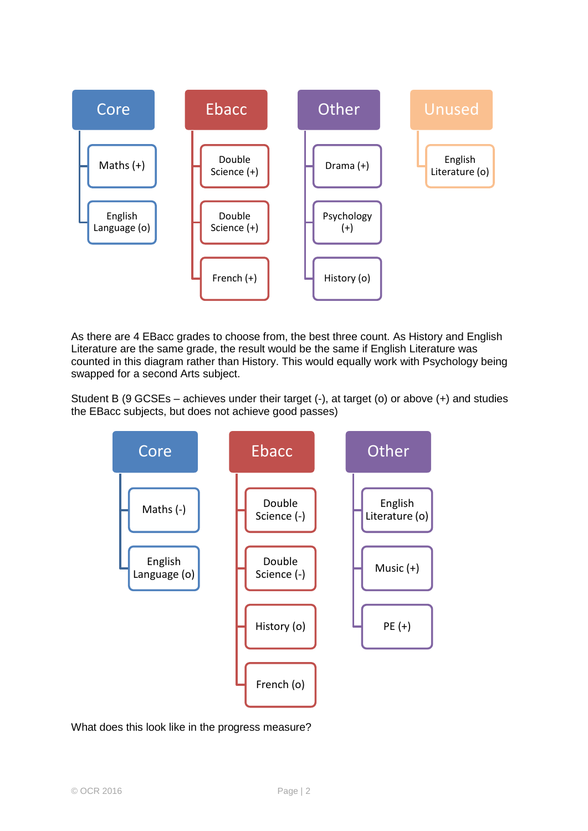

As there are 4 EBacc grades to choose from, the best three count. As History and English Literature are the same grade, the result would be the same if English Literature was counted in this diagram rather than History. This would equally work with Psychology being swapped for a second Arts subject.

Student B (9 GCSEs – achieves under their target  $(-)$ , at target  $(0)$  or above  $(+)$  and studies the EBacc subjects, but does not achieve good passes)



## What does this look like in the progress measure?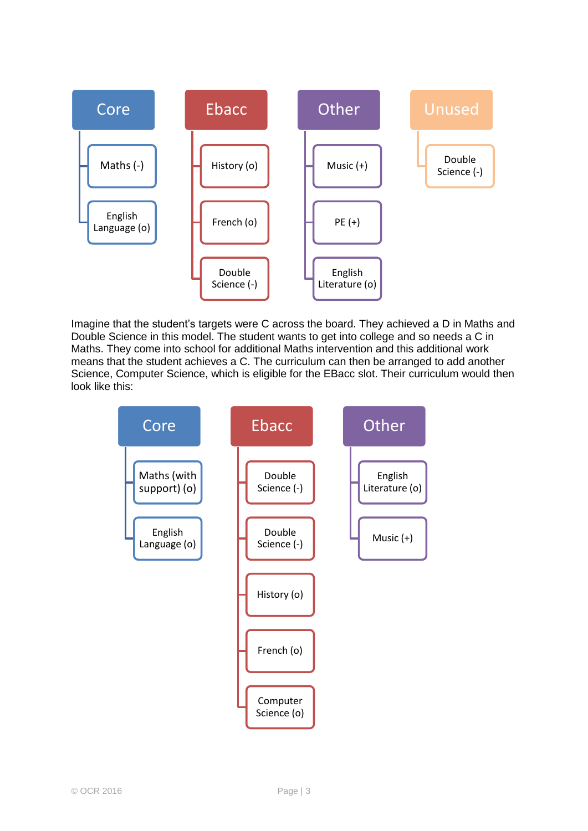

Imagine that the student's targets were C across the board. They achieved a D in Maths and Double Science in this model. The student wants to get into college and so needs a C in Maths. They come into school for additional Maths intervention and this additional work means that the student achieves a C. The curriculum can then be arranged to add another Science, Computer Science, which is eligible for the EBacc slot. Their curriculum would then look like this:

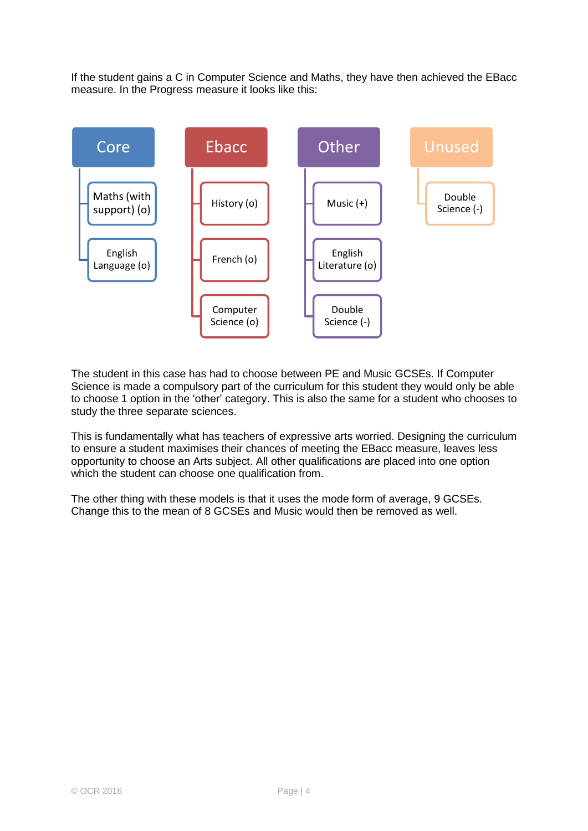If the student gains a C in Computer Science and Maths, they have then achieved the EBacc measure. In the Progress measure it looks like this:



The student in this case has had to choose between PE and Music GCSEs. If Computer Science is made a compulsory part of the curriculum for this student they would only be able to choose 1 option in the 'other' category. This is also the same for a student who chooses to study the three separate sciences.

This is fundamentally what has teachers of expressive arts worried. Designing the curriculum to ensure a student maximises their chances of meeting the EBacc measure, leaves less opportunity to choose an Arts subject. All other qualifications are placed into one option which the student can choose one qualification from.

The other thing with these models is that it uses the mode form of average, 9 GCSEs. Change this to the mean of 8 GCSEs and Music would then be removed as well.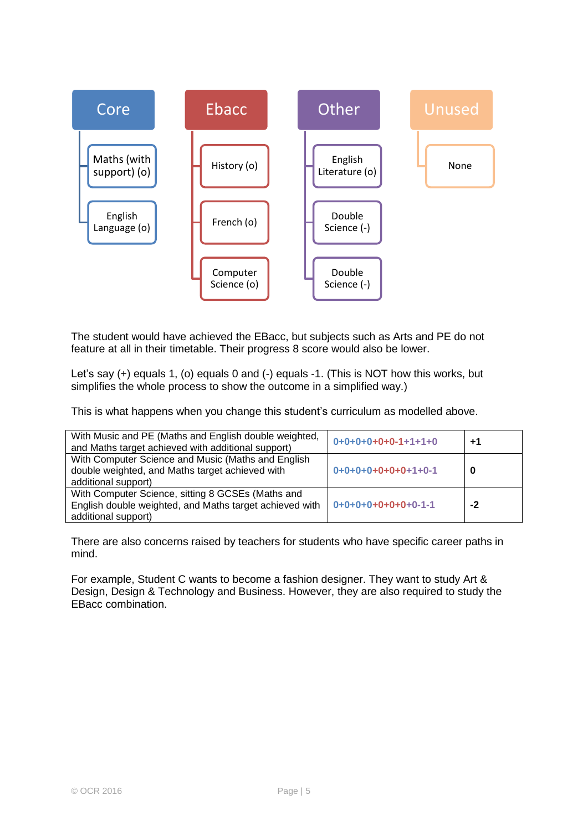

The student would have achieved the EBacc, but subjects such as Arts and PE do not feature at all in their timetable. Their progress 8 score would also be lower.

Let's say (+) equals 1, (o) equals 0 and (-) equals -1. (This is NOT how this works, but simplifies the whole process to show the outcome in a simplified way.)

This is what happens when you change this student's curriculum as modelled above.

| With Music and PE (Maths and English double weighted,<br>and Maths target achieved with additional support)                         | $0+0+0+0+0+0-1+1+1+0$ | $+1$ |
|-------------------------------------------------------------------------------------------------------------------------------------|-----------------------|------|
| With Computer Science and Music (Maths and English<br>double weighted, and Maths target achieved with<br>additional support)        | $0+0+0+0+0+0+0+1+0-1$ | -0   |
| With Computer Science, sitting 8 GCSEs (Maths and<br>English double weighted, and Maths target achieved with<br>additional support) | $0+0+0+0+0+0+0+0-1-1$ | -2   |

There are also concerns raised by teachers for students who have specific career paths in mind.

For example, Student C wants to become a fashion designer. They want to study Art & Design, Design & Technology and Business. However, they are also required to study the EBacc combination.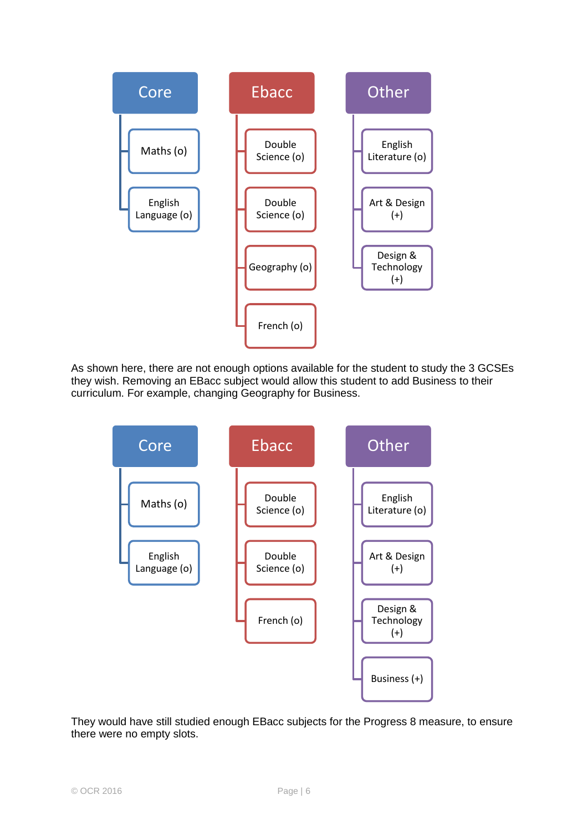

As shown here, there are not enough options available for the student to study the 3 GCSEs they wish. Removing an EBacc subject would allow this student to add Business to their curriculum. For example, changing Geography for Business.



They would have still studied enough EBacc subjects for the Progress 8 measure, to ensure there were no empty slots.